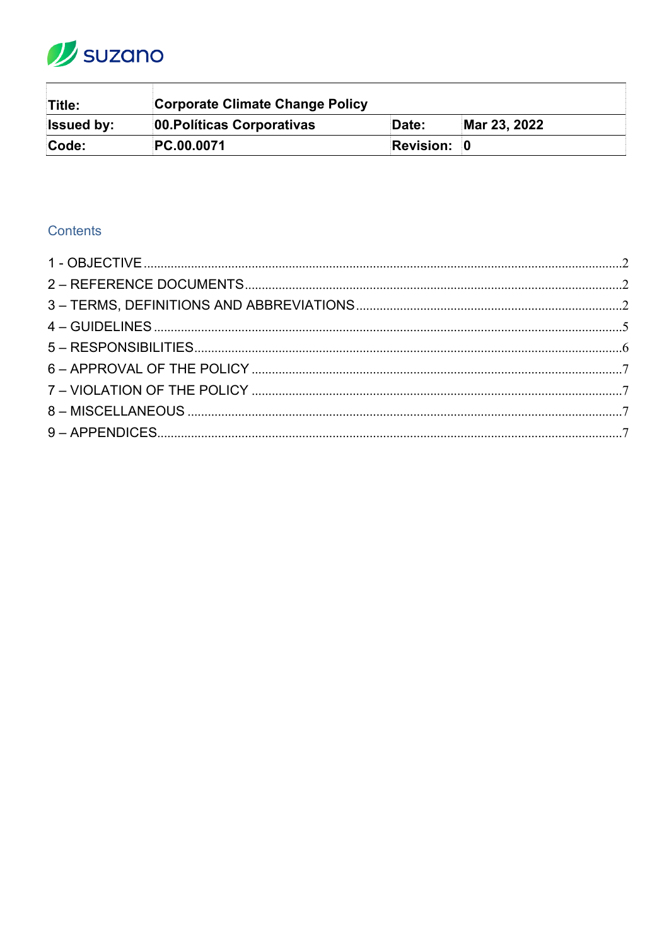

| Title:            | <b>Corporate Climate Change Policy</b> |                    |              |  |
|-------------------|----------------------------------------|--------------------|--------------|--|
| <b>Issued by:</b> | 00. Políticas Corporativas             | Date:              | Mar 23, 2022 |  |
| Code:             | PC.00.0071                             | <b>Revision: 0</b> |              |  |

# Contents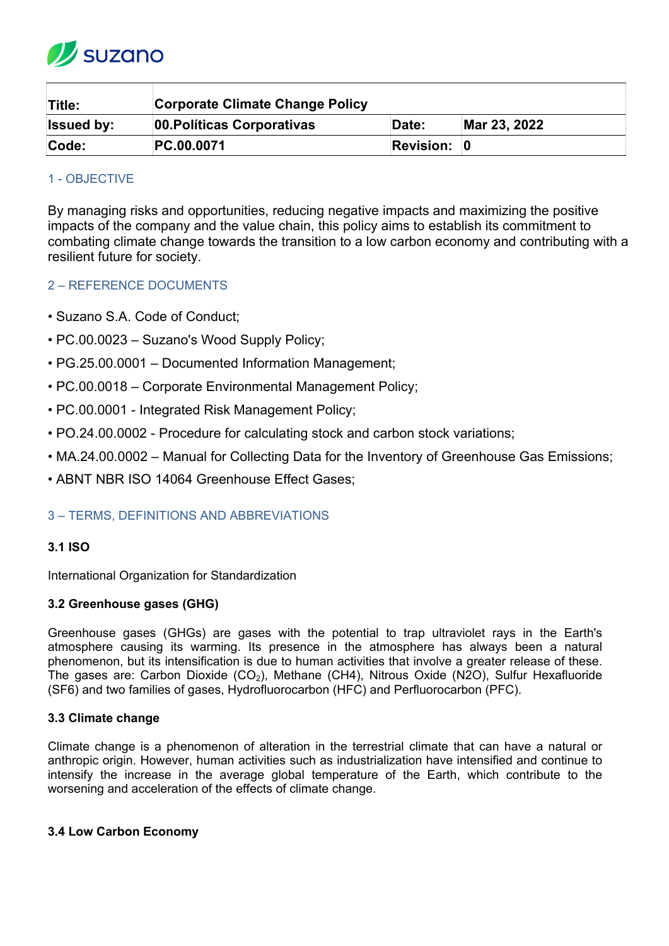

| Title:            | <b>Corporate Climate Change Policy</b> |                    |              |  |
|-------------------|----------------------------------------|--------------------|--------------|--|
| <b>Issued by:</b> | 00. Políticas Corporativas             | Date:              | Mar 23, 2022 |  |
| Code:             | PC.00.0071                             | <b>Revision: 0</b> |              |  |

# <span id="page-1-0"></span>1 - OBJECTIVE

By managing risks and opportunities, reducing negative impacts and maximizing the positive impacts of the company and the value chain, this policy aims to establish its commitment to combating climate change towards the transition to a low carbon economy and contributing with a resilient future for society.

# <span id="page-1-1"></span>2 – REFERENCE DOCUMENTS

- Suzano S.A. Code of Conduct;
- PC.00.0023 Suzano's Wood Supply Policy;
- PG.25.00.0001 Documented Information Management;
- PC.00.0018 Corporate Environmental Management Policy;
- PC.00.0001 Integrated Risk Management Policy;
- PO.24.00.0002 Procedure for calculating stock and carbon stock variations;
- MA.24.00.0002 Manual for Collecting Data for the Inventory of Greenhouse Gas Emissions;
- ABNT NBR ISO 14064 Greenhouse Effect Gases;

# <span id="page-1-2"></span>3 – TERMS, DEFINITIONS AND ABBREVIATIONS

## **3.1 ISO**

International Organization for Standardization

## **3.2 Greenhouse gases (GHG)**

Greenhouse gases (GHGs) are gases with the potential to trap ultraviolet rays in the Earth's atmosphere causing its warming. Its presence in the atmosphere has always been a natural phenomenon, but its intensification is due to human activities that involve a greater release of these. The gases are: Carbon Dioxide (CO<sub>2</sub>), Methane (CH4), Nitrous Oxide (N2O), Sulfur Hexafluoride (SF6) and two families of gases, Hydrofluorocarbon (HFC) and Perfluorocarbon (PFC).

## **3.3 Climate change**

Climate change is a phenomenon of alteration in the terrestrial climate that can have a natural or anthropic origin. However, human activities such as industrialization have intensified and continue to intensify the increase in the average global temperature of the Earth, which contribute to the worsening and acceleration of the effects of climate change.

## **3.4 Low Carbon Economy**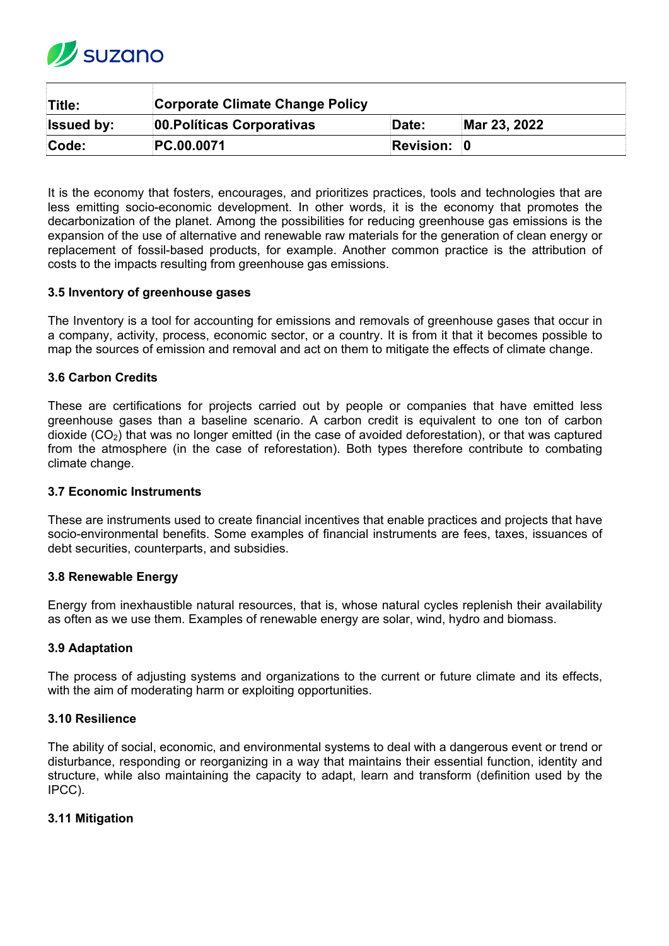

| Title:            | Corporate Climate Change Policy |                    |              |  |  |
|-------------------|---------------------------------|--------------------|--------------|--|--|
| <b>Issued by:</b> | 00. Políticas Corporativas      | Date:              | Mar 23, 2022 |  |  |
| Code:             | PC.00.0071                      | <b>Revision: 0</b> |              |  |  |

It is the economy that fosters, encourages, and prioritizes practices, tools and technologies that are less emitting socio-economic development. In other words, it is the economy that promotes the decarbonization of the planet. Among the possibilities for reducing greenhouse gas emissions is the expansion of the use of alternative and renewable raw materials for the generation of clean energy or replacement of fossil-based products, for example. Another common practice is the attribution of costs to the impacts resulting from greenhouse gas emissions.

## **3.5 Inventory of greenhouse gases**

The Inventory is a tool for accounting for emissions and removals of greenhouse gases that occur in a company, activity, process, economic sector, or a country. It is from it that it becomes possible to map the sources of emission and removal and act on them to mitigate the effects of climate change.

## **3.6 Carbon Credits**

These are certifications for projects carried out by people or companies that have emitted less greenhouse gases than a baseline scenario. A carbon credit is equivalent to one ton of carbon dioxide  $(CO<sub>2</sub>)$  that was no longer emitted (in the case of avoided deforestation), or that was captured from the atmosphere (in the case of reforestation). Both types therefore contribute to combating climate change.

## **3.7 Economic Instruments**

These are instruments used to create financial incentives that enable practices and projects that have socio-environmental benefits. Some examples of financial instruments are fees, taxes, issuances of debt securities, counterparts, and subsidies.

## **3.8 Renewable Energy**

Energy from inexhaustible natural resources, that is, whose natural cycles replenish their availability as often as we use them. Examples of renewable energy are solar, wind, hydro and biomass.

## **3.9 Adaptation**

The process of adjusting systems and organizations to the current or future climate and its effects, with the aim of moderating harm or exploiting opportunities.

#### **3.10 Resilience**

The ability of social, economic, and environmental systems to deal with a dangerous event or trend or disturbance, responding or reorganizing in a way that maintains their essential function, identity and structure, while also maintaining the capacity to adapt, learn and transform (definition used by the IPCC).

## **3.11 Mitigation**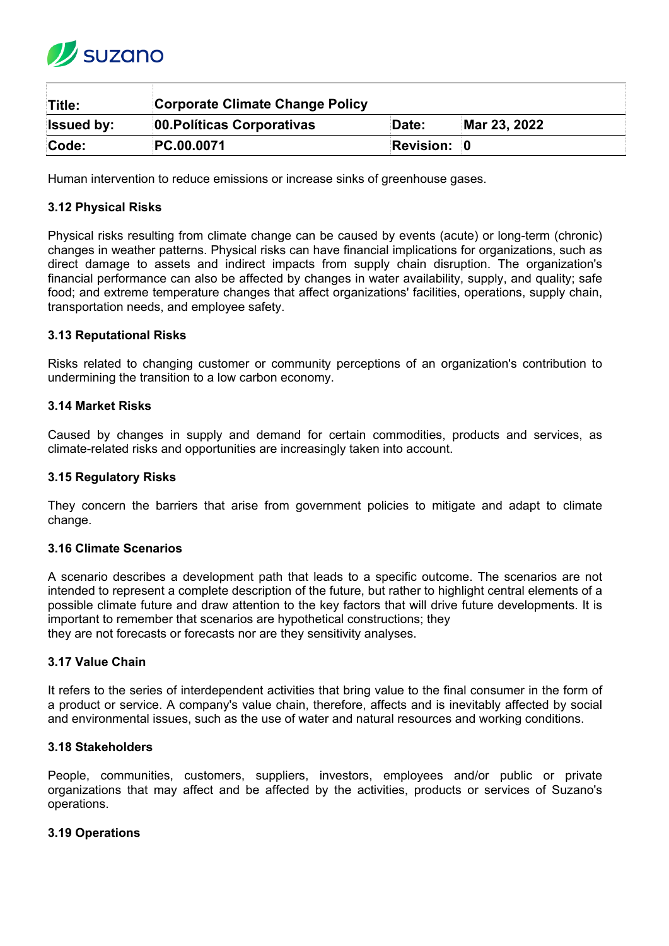

| Title:            | <b>Corporate Climate Change Policy</b> |                    |              |
|-------------------|----------------------------------------|--------------------|--------------|
| <b>Issued by:</b> | 00. Políticas Corporativas             | Date:              | Mar 23, 2022 |
| Code:             | PC.00.0071                             | <b>Revision: 0</b> |              |

Human intervention to reduce emissions or increase sinks of greenhouse gases.

## **3.12 Physical Risks**

Physical risks resulting from climate change can be caused by events (acute) or long-term (chronic) changes in weather patterns. Physical risks can have financial implications for organizations, such as direct damage to assets and indirect impacts from supply chain disruption. The organization's financial performance can also be affected by changes in water availability, supply, and quality; safe food; and extreme temperature changes that affect organizations' facilities, operations, supply chain, transportation needs, and employee safety.

## **3.13 Reputational Risks**

Risks related to changing customer or community perceptions of an organization's contribution to undermining the transition to a low carbon economy.

#### **3.14 Market Risks**

Caused by changes in supply and demand for certain commodities, products and services, as climate-related risks and opportunities are increasingly taken into account.

#### **3.15 Regulatory Risks**

They concern the barriers that arise from government policies to mitigate and adapt to climate change.

#### **3.16 Climate Scenarios**

A scenario describes a development path that leads to a specific outcome. The scenarios are not intended to represent a complete description of the future, but rather to highlight central elements of a possible climate future and draw attention to the key factors that will drive future developments. It is important to remember that scenarios are hypothetical constructions; they they are not forecasts or forecasts nor are they sensitivity analyses.

#### **3.17 Value Chain**

It refers to the series of interdependent activities that bring value to the final consumer in the form of a product or service. A company's value chain, therefore, affects and is inevitably affected by social and environmental issues, such as the use of water and natural resources and working conditions.

#### **3.18 Stakeholders**

People, communities, customers, suppliers, investors, employees and/or public or private organizations that may affect and be affected by the activities, products or services of Suzano's operations.

#### **3.19 Operations**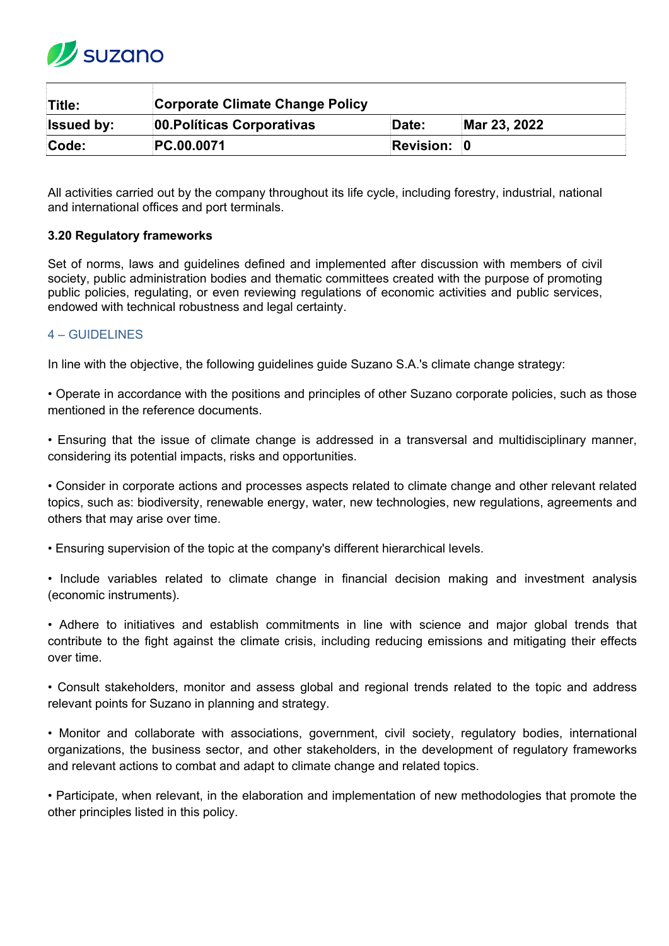

| Title:            | <b>Corporate Climate Change Policy</b> |             |              |  |
|-------------------|----------------------------------------|-------------|--------------|--|
| <b>Issued by:</b> | 00. Políticas Corporativas             | Date:       | Mar 23, 2022 |  |
| Code:             | <b>PC.00.0071</b>                      | Revision: 0 |              |  |

All activities carried out by the company throughout its life cycle, including forestry, industrial, national and international offices and port terminals.

## **3.20 Regulatory frameworks**

Set of norms, laws and guidelines defined and implemented after discussion with members of civil society, public administration bodies and thematic committees created with the purpose of promoting public policies, regulating, or even reviewing regulations of economic activities and public services, endowed with technical robustness and legal certainty.

## <span id="page-4-0"></span>4 – GUIDELINES

In line with the objective, the following guidelines guide Suzano S.A.'s climate change strategy:

• Operate in accordance with the positions and principles of other Suzano corporate policies, such as those mentioned in the reference documents.

• Ensuring that the issue of climate change is addressed in a transversal and multidisciplinary manner, considering its potential impacts, risks and opportunities.

• Consider in corporate actions and processes aspects related to climate change and other relevant related topics, such as: biodiversity, renewable energy, water, new technologies, new regulations, agreements and others that may arise over time.

• Ensuring supervision of the topic at the company's different hierarchical levels.

• Include variables related to climate change in financial decision making and investment analysis (economic instruments).

• Adhere to initiatives and establish commitments in line with science and major global trends that contribute to the fight against the climate crisis, including reducing emissions and mitigating their effects over time.

• Consult stakeholders, monitor and assess global and regional trends related to the topic and address relevant points for Suzano in planning and strategy.

• Monitor and collaborate with associations, government, civil society, regulatory bodies, international organizations, the business sector, and other stakeholders, in the development of regulatory frameworks and relevant actions to combat and adapt to climate change and related topics.

• Participate, when relevant, in the elaboration and implementation of new methodologies that promote the other principles listed in this policy.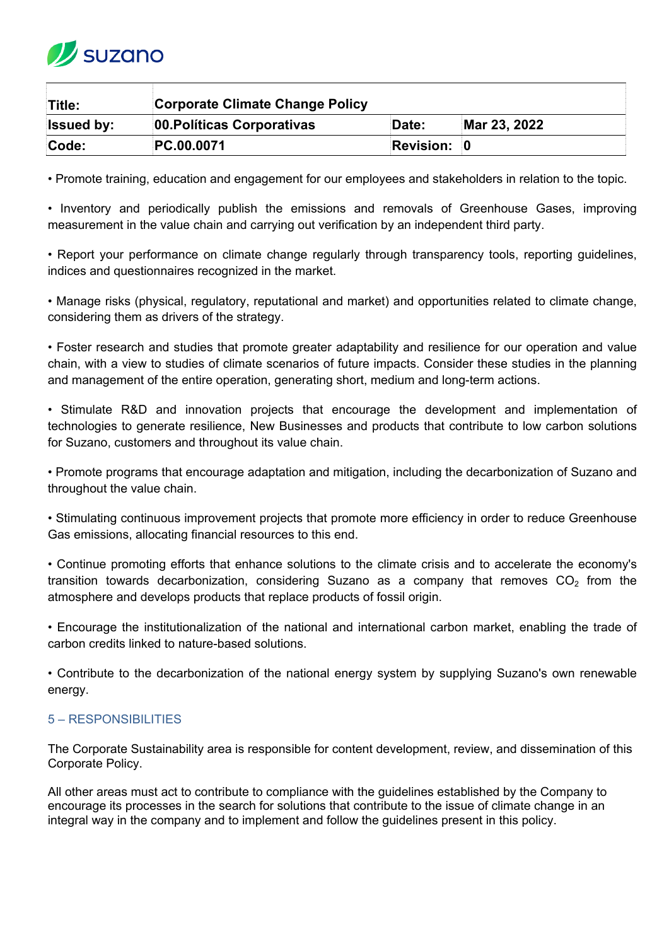

| Title:            | <b>Corporate Climate Change Policy</b> |                    |              |  |
|-------------------|----------------------------------------|--------------------|--------------|--|
| <b>Issued by:</b> | 00. Políticas Corporativas             | Date:              | Mar 23, 2022 |  |
| Code:             | <b>PC.00.0071</b>                      | <b>Revision: 0</b> |              |  |

• Promote training, education and engagement for our employees and stakeholders in relation to the topic.

• Inventory and periodically publish the emissions and removals of Greenhouse Gases, improving measurement in the value chain and carrying out verification by an independent third party.

• Report your performance on climate change regularly through transparency tools, reporting guidelines, indices and questionnaires recognized in the market.

• Manage risks (physical, regulatory, reputational and market) and opportunities related to climate change, considering them as drivers of the strategy.

• Foster research and studies that promote greater adaptability and resilience for our operation and value chain, with a view to studies of climate scenarios of future impacts. Consider these studies in the planning and management of the entire operation, generating short, medium and long-term actions.

• Stimulate R&D and innovation projects that encourage the development and implementation of technologies to generate resilience, New Businesses and products that contribute to low carbon solutions for Suzano, customers and throughout its value chain.

• Promote programs that encourage adaptation and mitigation, including the decarbonization of Suzano and throughout the value chain.

• Stimulating continuous improvement projects that promote more efficiency in order to reduce Greenhouse Gas emissions, allocating financial resources to this end.

• Continue promoting efforts that enhance solutions to the climate crisis and to accelerate the economy's transition towards decarbonization, considering Suzano as a company that removes  $CO<sub>2</sub>$  from the atmosphere and develops products that replace products of fossil origin.

• Encourage the institutionalization of the national and international carbon market, enabling the trade of carbon credits linked to nature-based solutions.

• Contribute to the decarbonization of the national energy system by supplying Suzano's own renewable energy.

# <span id="page-5-0"></span>5 – RESPONSIBILITIES

The Corporate Sustainability area is responsible for content development, review, and dissemination of this Corporate Policy.

All other areas must act to contribute to compliance with the guidelines established by the Company to encourage its processes in the search for solutions that contribute to the issue of climate change in an integral way in the company and to implement and follow the guidelines present in this policy.